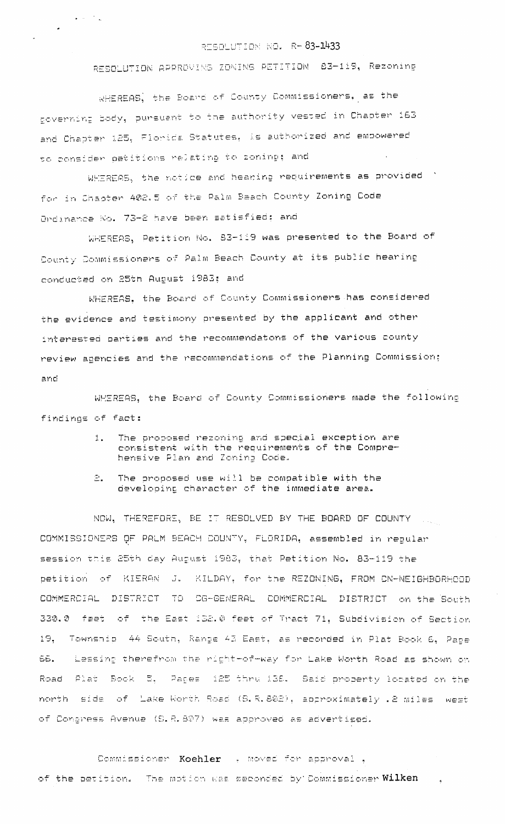## RESOLUTION NO. R-83-1433

RESOLUTION APPROVING ZONING PETITION 83-119, Rezoning

WHEREAS, the Board of County Commissioners, as the governing body, pursuant to the authority vested in Chapter 163 and Chapter 125, Florida Statutes, is authorized and empowered to consider patitions relating to zoning; and

 $\mathcal{A} \in \mathbb{R}^{d \times d}$  is

WHEREAS, the notice and hearing requirements as provided for in Chaoter 402.5 of the Palm Beach County Zoning Code Ordinance No. 73-2 have been satisfied; and

WHEREAS, Petition No. 83-119 was presented to the Board of County Commissioners of Palm Beach County at its public hearing conducted on 25th August 1983; and

WHEREAS. the Board of County Commissioners has considered the evidence and testimony presented by the applicant and other interested parties and the recommendatons of the various county review agencies and the recommendations of the Planning Commission: and

WMEREAS, the Board of County Commissioners made the following findings of fact:

- The proposed rezoning and special exception are  $1.$ consistent with the requirements of the Comprehensive Plan and Zoning Code.
- $\Xi$ . The proposed use will be compatible with the developing character of the immediate area.

NOW, THEREFORE, BE IT RESOLVED BY THE BOARD OF COUNTY COMMISSIONERS OF PALM BEACH COUNTY, FLORIDA, assembled in regular session this 25th day August 1983, that Petition No. 83-119 the petition of KIERAN J. KILDAY, for the REZONING, FROM CN-NEIGHBORHOOD COMMERCIAL DISTRICT TO CG-GENERAL COMMERCIAL DISTRICT on the South 330.0 feet of the East 132.0 feet of Tract 71, Subdivision of Section 19. Township 44 South, Range 43 East, as recorded in Plat Book 6. Pace Lessing therefrom the right-of-way for Lake Worth Road as shown on **66.** Road Plat Book 5, Papes 125 thru 138. Said property located on the north side of Lake Worth Road (S.R.802), approximately .2 miles west of Congress Avenua (S.R.807) was approved as advertised.

Commissioner Koehler ( moved for approval) of the petition. The motion was seconded by Commissioner Wilken